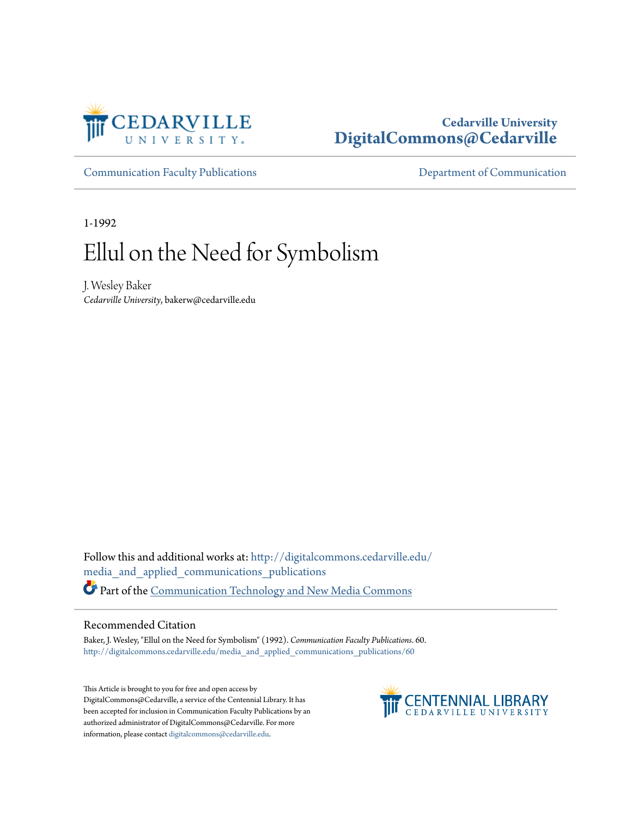

#### **Cedarville University [DigitalCommons@Cedarville](http://digitalcommons.cedarville.edu?utm_source=digitalcommons.cedarville.edu%2Fmedia_and_applied_communications_publications%2F60&utm_medium=PDF&utm_campaign=PDFCoverPages)**

[Communication Faculty Publications](http://digitalcommons.cedarville.edu/media_and_applied_communications_publications?utm_source=digitalcommons.cedarville.edu%2Fmedia_and_applied_communications_publications%2F60&utm_medium=PDF&utm_campaign=PDFCoverPages) [Department of Communication](http://digitalcommons.cedarville.edu/media_and_applied_communications?utm_source=digitalcommons.cedarville.edu%2Fmedia_and_applied_communications_publications%2F60&utm_medium=PDF&utm_campaign=PDFCoverPages)

1-1992

## Ellul on the Need for Symbolism

J. Wesley Baker *Cedarville University*, bakerw@cedarville.edu

Follow this and additional works at: [http://digitalcommons.cedarville.edu/](http://digitalcommons.cedarville.edu/media_and_applied_communications_publications?utm_source=digitalcommons.cedarville.edu%2Fmedia_and_applied_communications_publications%2F60&utm_medium=PDF&utm_campaign=PDFCoverPages) [media\\_and\\_applied\\_communications\\_publications](http://digitalcommons.cedarville.edu/media_and_applied_communications_publications?utm_source=digitalcommons.cedarville.edu%2Fmedia_and_applied_communications_publications%2F60&utm_medium=PDF&utm_campaign=PDFCoverPages) Part of the [Communication Technology and New Media Commons](http://network.bepress.com/hgg/discipline/327?utm_source=digitalcommons.cedarville.edu%2Fmedia_and_applied_communications_publications%2F60&utm_medium=PDF&utm_campaign=PDFCoverPages)

#### Recommended Citation

Baker, J. Wesley, "Ellul on the Need for Symbolism" (1992). *Communication Faculty Publications*. 60. [http://digitalcommons.cedarville.edu/media\\_and\\_applied\\_communications\\_publications/60](http://digitalcommons.cedarville.edu/media_and_applied_communications_publications/60?utm_source=digitalcommons.cedarville.edu%2Fmedia_and_applied_communications_publications%2F60&utm_medium=PDF&utm_campaign=PDFCoverPages)

This Article is brought to you for free and open access by DigitalCommons@Cedarville, a service of the Centennial Library. It has been accepted for inclusion in Communication Faculty Publications by an authorized administrator of DigitalCommons@Cedarville. For more information, please contact [digitalcommons@cedarville.edu.](mailto:digitalcommons@cedarville.edu)

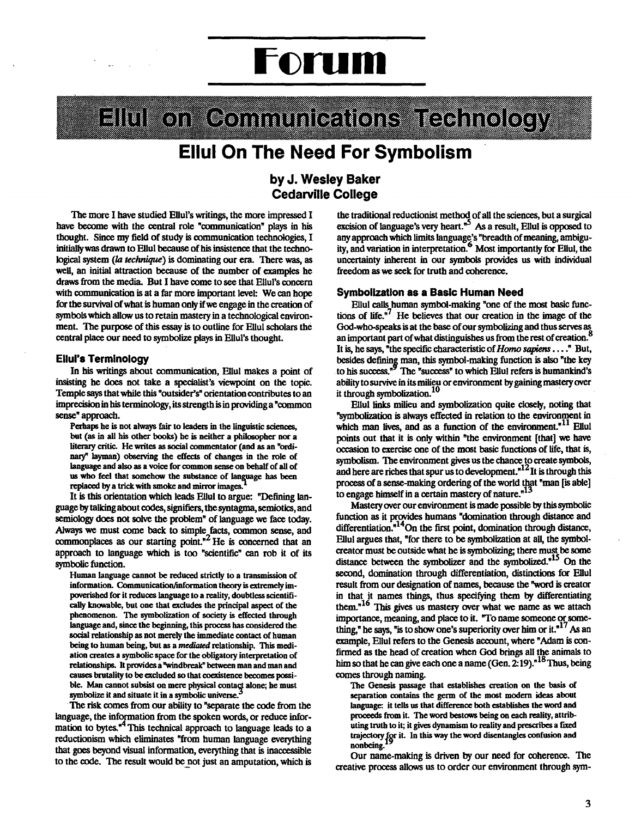# **Forum**

## Elli konkoonini in lohitonsa teohnology

### **Ellul On The Need For Symbolism**

#### **by J. Wesley Baker Cedarville College**

The more I have studied Ellul's writings, the more impressed I have become with the central role "communication" plays in his thought. Since my field of study is communication technologies, I initiallywas drawn to Ellul because of his insistence that the technological system *(la technique)* is dominating our era. There was, as well, an initial attraction because of the number of examples he draws from the media. But I have come to see that Ellul's concern with communication is at a far more important level: We can hope for the survival of what is human only if we engage in the creation of symbols which allow us to retain mastery in a technological environment. The purpose of this essay is to outline for Ellul scholars the central place our need to symbolize plays in Ellul's thought.

#### **Ellul's Terminology**

In his writings about communication, Ellul makes a point of insisting he does not take a specialist's viewpoint on the topic. Temple says that while this "outsider's" orientation contributes to an imprecision in his terminology, its strength is in providing a "common sense" approach.

Perhaps he is not always fair to leaders in the linguistic sciences, but (as in all his other books) he is neither a philosopher nor a literary critic. He writes as social commentator (and as an "ordinary" layman) observing the effects of changes in the role of language and also as a voice for common sense on behalf of all of us who feel that somehow the substance of language has been replaced by a trick with smoke and mirror images.

It is this orientation which leads Ellul to argue: "Defining language by talking about codes, signifiers, the syntagma, semiotics, and semiology does not solve the problem" of language we face today. Always we must come back to simple facts, common sense, and commonplaces as our starting point.<sup> $2$ </sup> He is concerned that an approach to language which is too "scientific" can rob it of its symbolic function.

Human language cannot be reduced strictly to a transmission of information. Communication/information theory is extremely impoverished for it reduces language to a reality, doubtless scientifically knowable, but one that excludes the principal aspect of the phenomenon. The symbolization of society is effected through language and, since the beginning, this process has considered the social relationship as not merely the immediate contact of human being to human being, but as a *mediated* relationship. This mediation creates a symbolic space for the obligatory interpretation of relationships. It provides a "windbreak" between man and man and causes brutality to be excluded so that coexistence becomes possible. Man cannot subsist on mere physical contact alone; he must symbolize it and situate it in a symbolic universe.

The risk comes from our ability to "separate the code from the language, the information from the spoken words, or reduce information to bytes. $<sup>n4</sup>$  This technical approach to language leads to a</sup> reductionism which eliminates "from human language everything that goes beyond visual information, everything that is inaccessible to the code. The result would be not just an amputation, which is the traditional reductionist method of all the sciences, but a surgical excision of language's very heart. $5<sup>5</sup>$  As a result, Ellul is opposed to any approach which limits language's "breadth of meaning, ambiguity, and variation in interpretation.<sup>6</sup> Most importantly for Ellul, the uncertainty inherent in our symbols provides us with individual freedom as we seek for truth and coherence.

#### **Symbolization as a Basic Human Need**

Ellul calls human symbol-making "one of the most basic functions of life. $\sqrt{7}$  He believes that our creation in the image of the God-who-speaks is at the base of our symbolizing and thus serves as an important part of what distinguishes us from the rest of creation. It is, he says, "the specific characteristic of *Homo sapiens .* ... " But, besides defining man, this symbol-making function is also "the key to his success."<sup>9</sup> The "success" to which Ellul refers is humankind's ability to survive in its milieu or environment by gaining mastery over<br>it through symbolization.<sup>10</sup>

Ellul links milieu and symbolization quite closely, noting that "symbolization is always effected in relation to the environment in which man lives, and as a function of the environment.<sup>"11</sup> Ellul points out that it is only within "the environment (that) we have occasion to exercise one of the most basic functions of life, that is, symbolism. The environment gives us the chance to create symbols, and here are riches that spur us to development.<sup>"12</sup>It is through this process of a sense-making ordering of the world that "man [is able) to engage himself in a certain mastery of nature.<sup>"13</sup>

Mastery over our environment is made possible by this symbolic function as it provides humans "domination through distance and differentiation. $n^{14}$ On the first point, domination through distance, Ellul argues that, "for there to be symbolization at all, the symbolcreator must be outside what he is symbolizing; there must be some distance between the symbolizer and the symbolized.<sup>"15</sup> On the second, domination through differentiation, distinctions for Ellul result from our designation of names, because the "word is creator in that it names things, thus specifying them by differentiating them."<sup>16</sup> This gives us mastery over what we name as we attach importance, meaning, and place to it. "To name someone or something," he says, "is to show one's superiority over him or it. " <sup>17</sup>*A3* an example, Ellul refers to the Genesis account, where "Adam is confirmed as the head of creation when God brings all the animals to him so that he can give each one a name (Gen.  $2.19$ ).<sup>"18</sup>Thus, being comes through naming.

The Genesis passage that establishes creation on the basis of separation contains the germ of the most modern ideas about language: it tells us that difference both establishes the word and proceeds from it. The word bestows being on each reality, attributing truth to it; it gives dynamism to reality and prescribes a fixed trajectory *for it.* In this way the word disentangles confusion and non being.

Our name-making is driven by our need for coherence. The creative process allows us to order our environment through sym-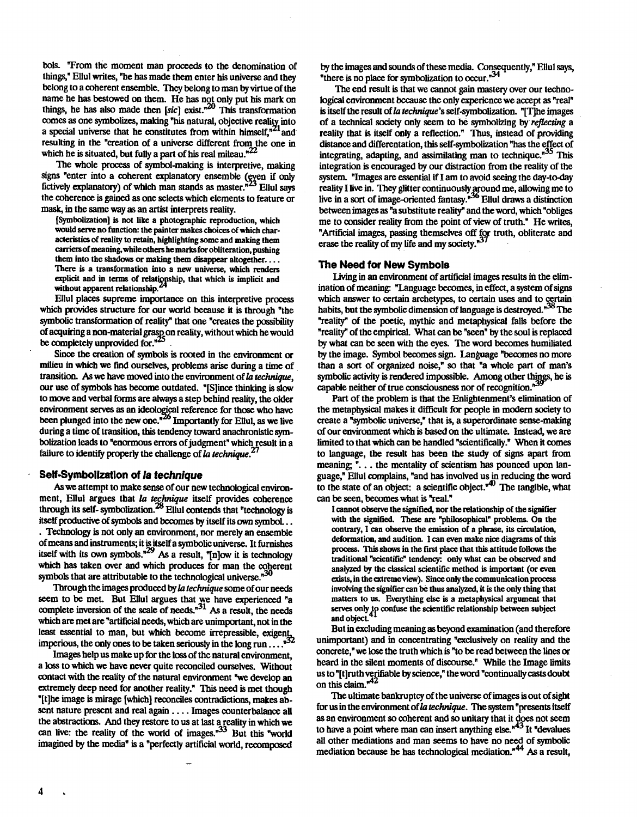bols. "From the moment man proceeds to the denomination of things," Ellul writes, "be bas made them enter his universe and they belong to a coherent ensemble. They belong to man by virtue of the name he has bestowed on them. He has not only put his mark on things, he has also made then  $[sic]$  exist.<sup>"20</sup> This transformation romes as one symbolizes, making "his natural, objective realitv into a special universe that he constitutes from within himself,<sup>\*21</sup> and resulting in the "creation of a universe different from the one in which he is situated, but fully a part of his real mileau. $^{22}$ 

The whole process of symbol-making is interpretive, making signs "enter into a coherent explanatory ensemble (even if only fictively explanatory) of which man stands as master.<sup>23</sup> Eliul says the coherence is gained as one selects which elements to feature or mask, in the same way as an artist interprets reality.

(Symboli7.ation) is not like a photographic reproduction, which would serve no function: the painter makes choices of which characteristics of reality to retain, highlighting some and making them carriers of meaning, while others he marks for obliteration, pushing them into the shadows or making them disappear altogether... There is a transformation into a new universe, which renders explicit and in terms of relationship, that which is implicit and without apparent relationship.

Ellul places supreme importance on this interpretive process which provides structure for our world because it is through "the symbolic transformation of reality" that one "creates the possibility of acquiring a non-material grasp on reality, without which he would be completely unprovided for." $\sim$ 

Since the creation of symbols is rooted in the environment or milieu in which we find ourselves, problems arise during a time of transition. As we have moved into the environment of la *technique,*  our use of symbols bas become outdated. "[S)ince thinking is slow to move and verbal forms are always a step behind reality, the older environment serves as an ideological reference for those who have been plunged into the new one.<sup>"20</sup> Importantly for Ellul, as we live during a time of transition, this tendency toward anachronistic symbolization leads to "enormous errors of judgment" which result in a failure to identify properly the challenge of la *technique.<sup>21</sup>*

#### **Self .Symbollzatlon of la technique**

As we attempt to make sense of our new technological environment, Ellul argues that la *tecfrnique* itself provides coherence through its self-symbolization.28 Ellul contends that "technology is itself productive of symbols and becomes by itself its own symbol ..

. Technology is not only an environment, nor merely an ensemble of means and instruments; it is itself a symbolic universe. It furnishes itself with its own symbols."<sup>29</sup> As a result, "[n]ow it is technology which bas taken over and which produces for man the coherent symbols that are attributable to the technological universe.<sup>"30</sup>

Through the images produced by la *technique* some of our needs seem to be met. But Ellul argues that we have experienced "a complete inversion of the scale of needs. $n^{31}$  As a result, the needs which are met are "artificial needs, which are unimportant, not in the least essential to man, but which become irrepressible, exigent, imperious, the only ones to be taken seriously in the long run  $\dots$ ."

Images help us make up for the loss of the natural environment, a loss to which we have never quite reconciled ourselves. Without contact with the reality of the natural environment "we develop an extremely deep need for another reality." This need is met though "[t)he image is mirage [which) reconciles contradictions, makes absent nature present and real again .... Images counterbalance all the abstractions. And they restore to us at last a reality in which we can live: the reality of the world of images. $153$  But this "world imagined by the media" is a "perfectly artificial world, recomposed

by the images and sounds of these media. Consequently," Ellul says, "there is no place for symbolization to occur."<sup>34</sup>

The end result is that we cannot gain mastery over our technological environment because the only experience we accept as "real" is itself the result of *la technique's self-symbolization*. "[T]he images of a technical society only seem to be symbolizing by *reflecting* a reality that is itself only a reflection." Thus, instead of providing distance and differentation, this self-symbolization "has the effect of integrating, adapting, and assimilating man to technique.<sup>135</sup> This integration is encouraged by our distraction from the reality of the system. "Images are essential if I am to avoid seeing the day-to-day reality I live in. They glitter continuously around me, allowing me to live in a sort of image-oriented fantasy.<sup>"30</sup> Ellul draws a distinction between images as "a substitute reality" and the word, which "obliges me to consider reality from the point of view of truth." He writes, "Artificial images, passing themselves off for truth, obliterate and erase the reality of my life and my society. $n<sup>3</sup>$ 

#### **The Need for New Symbols**

Living in an environment of artificial images results in the elimination of meaning: "Language becomes, in effect, a system of signs which answer to certain archetypes, to certain uses and to certain habits, but the symbolic dimension of language is destroyed. $n^{38}$  The "reality" of the poetic, mythic and metaphysical falls before the "reality" of the empirical. What can be "seen" by the soul is replaced by what can be seen with the eyes. The word becomes humiliated by the image. Symbol becomes sign. Language "becomes no more than a sort of organized noise," so that "a whole part of man's symbolic activity is rendered impossible. Among other things, he is capable neither of true consciousness nor of recognition.<sup>739</sup>

Part of the problem is that the Enlightenment's elimination of the metaphysical makes it difficult for people in modem society to create a "symbolic universe," that is, a superordinate sense-making of our environment which is based on the ultimate. Instead, we are limited to that which can be bandied "scientifically." When it comes to language, the result bas been the study of signs apart from meaning; "... the mentality of scientism has pounced upon language," Ellul complains, "and bas involved us in reducing the word to the state of an object: a scientific object. $\mathbf{f}^{\mathbf{a}}$ . The tangible, what can be seen, becomes what is "real."

I cannot observe the signified, nor the relationship of the signifier with the signified. These are "philosophical" problems. On the contrary, I can observe the emission of a phrase, its circulation, deformation, and audition. I can even make nice diagrams of this process. This shows in the first place that this attitude follows the traditional "scientific" tendency: only what can be observed and analyzed by the classical scientific method is important (or even exists, in the extreme view). Since only the communication process involving the signifier can be thus analyzed, it is the only thing that matters to us. Everything else is a metaphysical argument that matters to us. Everything clsc is a metaphysical argument that serves only to confuse the scientific relationship between subject and object.

But in excluding meaning as beyond examination ( and therefore unimportant) and in concentrating "exclusively on reality and the concrete," we lose the truth which is "to be read between the lines or heard in the silent moments of discourse." While the Image limits us to "[t]ruth verifiable by science," the word "continually casts doubt on this claim. $n42$ 

The ultimate bankruptcy of the universe of images is out of sight for us in the environment of *la technique*. The system "presents itself as an environment so coherent and so unitary that it does not seem to have a point where man can insert anything else."<sup>43</sup> It "devalues" all other mediations and man seems to have no need of symbolic mediation because he has technological mediation.<sup>\*44</sup> As a result,